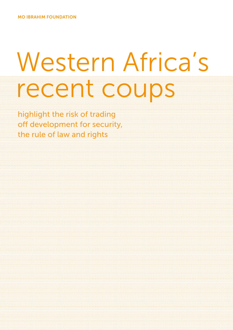# Western Africa's recent coups

highlight the risk of trading off development for security, the rule of law and rights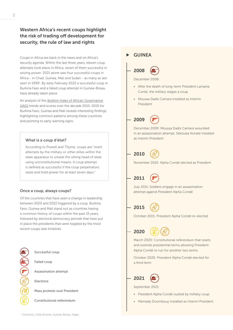Western Africa's recent coups highlight the risk of trading off development for security, the rule of law and rights

Coups in Africa are back in the news and on Africa's security agenda. Within the last three years, eleven coup attempts took place in Africa, seven of them successful in seizing power. 2021 alone saw four successful coups in Africa - in Chad, Guinea, Mali and Sudan - as many as last seen in 1999<sup>1</sup>. By early February 2022 a successful coup in Burkina Faso and a failed coup attempt in Guinea-Bissau have already taken place.

An analysis of the [Ibrahim Index of African Governance](https://mo.ibrahim.foundation/iiag) [\(IIAG\)](https://mo.ibrahim.foundation/iiag) trends and scores over the decade 2010-2019 for Burkina Faso, Guinea and Mali reveals interesting findings, highlighting common patterns among these countries and pointing to early warning signs.

# What is a coup d'état?

According to Powell and Thyme, coups are "overt attempts by the military or other elites within the state apparatus to unseat the sitting head of state using unconstitutional means. A coup attempt is defined as successful if the coup perpetrators seize and hold power for at least seven days."

### Once a coup, always coups?

Of the countries that have seen a change in leadership between 2020 and 2022 triggered by a coup, Burkina Faso, Guinea and Mali stand out as countries having a common history of coups within the past 15 years, followed by electoral democracy periods that have put in place the presidents that were toppled by the most recent coups (see timeline).



#### Ь GUINEA



December 2008:

- After the death of long-term President Lansana Conté, the military stages a coup
- Moussa Dadis Camara installed as Interim President

2009

December 2009: Moussa Dadis Camara wounded in an assassination attempt, Sékouba Konaté installed as Interim President

# 2010

November 2010: Alpha Condé elected as President

2011

July 2011: Soldiers engage in an assassination attempt against President Alpha Condé

2015

October 2015: President Alpha Condé re-elected

2020



March 2020: Constitutional referendum that resets and extends presidential terms allowing President Alpha Condé to run for another two terms

October 2020: President Alpha Condé elected for a third term

# 2021

September 2021:

- President Alpha Condé ousted by military coup
- Mamady Doumbouy installed as Interim President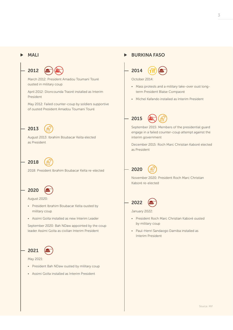#### MALI  $\blacksquare$

2012



March 2012: President Amadou Toumani Touré ousted in military coup

April 2012: Dioncounda Traoré installed as Interim President

May 2012: Failed counter-coup by soldiers supportive of ousted President Amadou Toumani Touré

2013

August 2013: Ibrahim Boubacar Keïta elected as President

2018

2018: President Ibrahim Boubacar Keïta re-elected

# 2020

#### August 2020:

- President Ibrahim Boubacar Keïta ousted by military coup
- Assimi Goïta installed as new Interim Leader

September 2020: Bah NDaw appointed by the coup leader Assimi Goïta as civilian Interim President



### May 2021:

- President Bah NDaw ousted by military coup
- Assimi Goïta installed as Interim President

# **BURKINA FASO**



### October 2014:

- Mass protests and a military take-over oust longterm President Blaise Compaoré
- Michel Kafando installed as Interim President

2015

September 2015: Members of the presidential guard engage in a failed counter-coup attempt against the interim government

December 2015: Roch Marc Christian Kaboré elected as President

# 2020



November 2020: President Roch Marc Christian Kaboré re-elected

2022

January 2022:

- President Roch Marc Christian Kaboré ousted by military coup
- Paul-Henri Sandaogo Damiba installed as Interim President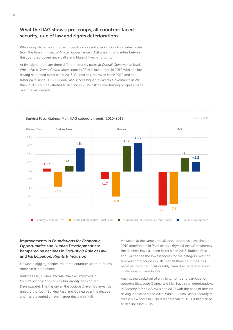# What the IIAG shows: pre-coups, all countries faced security, rule of law and rights deteriorations

While coup dynamics must be understood in each specific country context, data from the [Ibrahim Index of African Governance \(IIAG\)](https://mo.ibrahim.foundation/iiag) unearth similarities between the countries' governance paths and highlight warning signs.

At first sight, there are three different country paths at *Overall Governance* level. While Mali's *Overall Governance* score in 2019 is lower than in 2010 with decline having happened faster since 2015, Guinea has improved since 2010 and at a faster pace since 2015. Burkina Faso scores higher in *Overall Governance* in 2010 than in 2019 but has started to decline in 2015, risking overturning progress made over the last decade.



# Improvements in *Foundations for Economic Opportunities* and *Human Development* are hampered by declines in *Security & Rule of Law* and *Participation, Rights & Inclusion*

However, digging deeper, the three countries seem to follow more similar directions.

Burkina Faso, Guinea and Mali have all improved in *Foundations for Economic Opportunity* and *Human Development*. This has driven the positive *Overall Governance*  trajectory of both Burkina Faso and Guinea over the decade and has prevented an even larger decline in Mali.

However, at the same time all three countries have since 2010 deteriorated in *Participation, Rights & Inclusion* whereby the declines have all been faster since 2015. Burkina Faso and Guinea see the lowest scores for the category over the ten-year time period in 2019. For all three countries, this negative trend has most notably been due to deteriorations in *Participation* and *Rights*.

Against the backdrop of shrinking rights and participation opportunities, both Guinea and Mali have seen deteriorations in *Security & Rule of Law* since 2010 with the pace of decline having increased since 2015. While Burkina Faso's *Security & Rule of Law* score in 2019 is higher than in 2010, it has started to decline since 2015.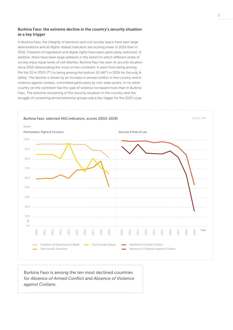# Burkina Faso: the extreme decline in the country's security situation as a key trigger

In Burkina Faso, the integrity of elections and civil society space have seen large deteriorations and all *Rights* related indicators are scoring lower in 2019 than in 2010. Freedom of expression and digital rights have been particularly restricted. In addition, there have been large setbacks in the extent to which different strata of society enjoy equal levels of civil liberties. Burkina Faso has seen its security situation since 2010 deteriorating the most on the continent. It went from being among the top 10 in 2010 ( $7<sup>th</sup>$ ) to being among the bottom 10 (46<sup>th</sup>) in 2019 for *Security & Safety*. The decline is driven by an increase in armed conflict in the country and in violence against civilians, committed particularly by non-state actors. In no other country on the continent has this type of violence increased more than in Burkina Faso. The extreme worsening of the security situation in the country and the struggle of containing armed extremist groups was a key trigger for the 2022 coup.



Burkina Faso is among the ten most declined countries for *Absence of Armed Conflict* and *Absence of Violence against Civilians*.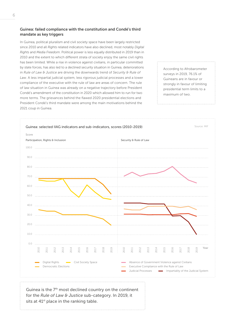# Guinea: failed compliance with the constitution and Condé's third mandate as key triggers

In Guinea, political pluralism and civil society space have been largely restricted since 2010 and all *Rights* related indicators have also declined, most notably *Digital Rights* and *Media Freedom*. Political power is less equally distributed in 2019 than in 2010 and the extent to which different strata of society enjoy the same civil rights has been limited. While a rise in violence against civilians, in particular committed by state forces, has also led to a declined security situation in Guinea, deteriorations in *Rule of Law & Justice* are driving the downwards trend of *Security & Rule of Law*. A less impartial judicial system, less rigorous judicial processes and a lower compliance of the executive with the rule of law are areas of concern. The rule of law situation in Guinea was already on a negative trajectory before President Condé's amendment of the constitution in 2020 which allowed him to run for two more terms. The grievances behind the flawed 2020 presidential elections and President Condé's third mandate were among the main motivations behind the 2021 coup in Guinea.

According to Afrobarometer surveys in 2019, 76.1% of Guineans are in favour or strongly in favour of limiting presidential term limits to a maximum of two.



Guinea is the 7<sup>th</sup> most declined country on the continent for the *Rule of Law & Justice* sub-category. In 2019, it sits at  $41<sup>st</sup>$  place in the ranking table.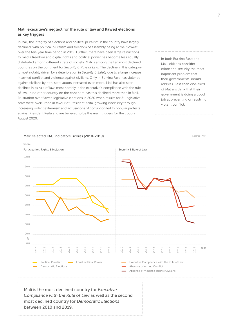# Mali: executive's neglect for the rule of law and flawed elections as key triggers

In Mali, the integrity of elections and political pluralism in the country have largely declined, with political pluralism and freedom of assembly being at their lowest over the ten-year time period in 2019. Further, there have been large restrictions to media freedom and digital rights and political power has become less equally distributed among different strata of society. Mali is among the ten most declined countries on the continent for *Security & Rule of Law*. The decline in this category is most notably driven by a deterioration in *Security & Safety* due to a large increase in armed conflict and violence against civilians. Only in Burkina Faso has violence against civilians by non-state actors increased even more. Mali has also seen declines in its rule of law, most notably in the executive's compliance with the rule of law. In no other country on the continent has this declined more than in Mali. Frustration over flawed legislative elections in 2020 when results for 31 legislative seats were overturned in favour of President Keïta, growing insecurity through increasing violent extremism and accusations of corruption led to popular protests against President Keïta and are believed to be the main triggers for the coup in August 2020.

In both Burkina Faso and Mali, citizens consider crime and security the most important problem that their governments should address. Less than one-third of Malians think that their government is doing a good job at preventing or resolving violent conflict.



Mali is the most declined country for *Executive Compliance with the Rule of Law* as well as the second most declined country for *Democratic Elections* between 2010 and 2019.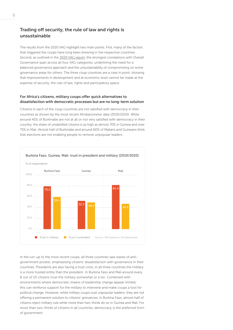# Trading off security, the rule of law and rights is unsustainable

The results from the 2020 IIAG highlight two main points. First, many of the factors that triggered the coups have long been brewing in the respective countries. Second, as outlined in the [2020 IIAG report,](https://mo.ibrahim.foundation/sites/default/files/2020-11/2020-index-report.pdf) the strongest correlations with *Overall Governance* span across all four IIAG categories, underlining the need for a balanced governance approach and the unsustainability of compromising on some governance areas for others. The three coup countries are a case in point, showing that improvements in development and at economic level cannot be made at the expense of security, the rule of law, rights and participatory space.

# For Africa's citizens, military coups offer quick alternatives to dissatisfaction with democratic processes but are no long-term solution

Citizens in each of the coup countries are not satisfied with democracy in their countries as shown by the most recent Afrobarometer data (2019/2020). While around 45% of Burkinabe are not at all or not very satisfied with democracy in their country, the share of unsatisfied citizens is as high as almost 70% in Guinea and over 75% in Mali. Almost half of Burkinabe and around 60% of Malians and Guineans think that elections are not enabling people to remove unpopular leaders.



In the run-up to the most recent coups, all three countries saw waves of antigovernment protest, emphasising citizens' dissatisfaction with governance in their countries. Presidents are also facing a trust crisis, in all three countries the military is a more trusted entity than the president. In Burkina Faso and Mali around every 8 out of 10 citizens trust the military somewhat or a lot. Combined with environments where democratic means of leadership change appear limited, this can reinforce support for the military to intervene and make coups a tool for political change. However, while military coups oust unpopular leaders, they are not offering a permanent solution to citizens' grievances. In Burkina Faso, almost half of citizens reject military rule while more than two-thirds do so in Guinea and Mali. For more than two-thirds of citizens in all countries, democracy is the preferred form of government.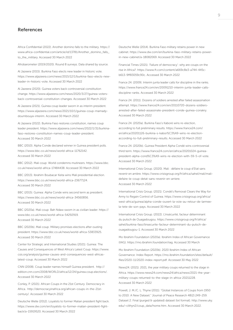# References

Africa Confidential (2022). Another domino falls to the military. https:// www.africa-confidential.com/article/id/13781/Another\_domino\_falls\_ to the military. Accessed 30 March 2022

Afrobarometer (2019/2020). Round 8 surveys. Data shared by source.

Al Jazeera (2015). Burkina Faso elects new leader in historic vote. https://www.aljazeera.com/news/2015/12/1/burkina-faso-elects-newleader-in-historic-vote. Accessed 30 March 2022

Al Jazeera (2020). Guinea voters back controversial constitution change. https://www.aljazeera.com/news/2020/3/27/guinea-votersback-controversial-constitution-changes. Accessed 30 March 2022

Al Jazeera (2021). Guinea coup leader sworn in as interim president. https://www.aljazeera.com/news/2021/10/1/guinea-coup-mamadydoumbouya-interim. Accessed 30 March 2022

Al Jazeera (2022). Burkina Faso restores constitution, names coup leader president. https://www.aljazeera.com/news/2022/1/31/burkinafaso-restores-constitution-names-coup-leader-president. Accessed 30 March 2022

BBC (2010). Alpha Conde declared winner in Guinea president polls. https://www.bbc.co.uk/news/world-africa-11762142. Accessed 30 March 2022

BBC (2012). Mali coup: World condemns mutineers. https://www.bbc. co.uk/news/world-africa-17484438. Accessed 30 March 2022

BBC (2013). Ibrahim Boubacar Keita wins Mali presidential election. https://www.bbc.co.uk/news/world-africa-23677124. Accessed 30 March 2022

BBC (2015). Guinea: Alpha Conde wins second term as president. https://www.bbc.co.uk/news/world-africa-34560856. Accessed 30 March 2022

BBC (2020a). Mali coup: Bah Ndaw sworn in as civilian leader. https:// www.bbc.co.uk/news/world-africa-54292919. Accessed 30 March 2022

BBC (2020b). Mali coup: Military promises elections after ousting president. https://www.bbc.co.uk/news/world-africa-53833925. Accessed 30 March 2022

Center for Strategic and International Studies (2021). Guinea: The Causes and Consequences of West Africa's Latest Coup. https://www. csis.org/analysis/guinea-causes-and-consequences-west-africaslatest-coup. Accessed 30 March 2022

CNN (2008). Coup leader names himself Guinea president. http:// edition.cnn.com/2008/WORLD/africa/12/24/guinea.coup.elections/. Accessed 30 March 2022

Conley, P. (2021). African Coups in the 21st Century. Democracy in Africa. http://democracyinafrica.org/african-coups-in-the-21stcentury/. Accessed 30 March 2022

Deutsche Welle (2012). Loyalists to former Malian president fight back. https://www.dw.com/en/loyalists-to-former-malian-president-fightback/a-15919520. Accessed 30 March 2022

Deutsche Welle (2014). Burkina Faso military retains power in new cabinet. https://www.dw.com/en/burkina-faso-military-retains-powerin-new-cabinet/a-18082069. Accessed 30 March 2022

Financial Times (2021). 'Failure of democracy': why are coups on the rise in Africa?. https://www.ft.com/content/a669c8e3-a744-445cb613-9ff83059c90c. Accessed 30 March 2022

France 24. (2009). Interim junta leader calls for discipline in the ranks. https://www.france24.com/en/20091210-interim-junta-leader-callsdiscipline-ranks. Accessed 30 March 2022

France 24. (2011). Dozens of soldiers arrested after failed assassination attempt. https://www.france24.com/en/20110720-dozens-soldiersarrested-after-failed-assassinate-president-conde-guinea-conakry. Accessed 30 March 2022

France 24. (2020a). Burkina Faso's Kaboré wins re-election, according to full preliminary results. https://www.france24.com/ en/africa/20201126-burkina-s-kabor%C3%A9-wins-re-electionaccording-to-full-preliminary-results. Accessed 30 March 2022

France 24. (2020b). Guinea President Alpha Condé wins controversial third term. https://www.france24.com/en/africa/20201024-guineapresident-alpha-cond%C3%A9-wins-re-election-with-59-5-of-vote. Accessed 30 March 2022

International Crisis Group. (2020). Mali : défaire le coup d'Etat sans revenir en arrière. https://www.crisisgroup.org/fr/africa/sahel/mali/malidefaire-le-coup-detat-sans-revenir-en-arriere. Accessed 30 March 2022

International Crisis Group. (2021). Condé's Removal Clears the Way for Army to Regain Control of Guinea. https://www.crisisgroup.org/africa/ west-africa/guinea/alpha-conde-ouvert-la-voie-au-retour-de-larmeela-tete-de-son-pays. Accessed 30 March 2022

International Crisis Group. (2022). L'insécurité, facteur déterminant du putsch de Ouagadougou. https://www.crisisgroup.org/fr/africa/ sahel/burkina-faso/linsecurite-facteur-determinant-du-putsch-deouagadougou-1. Accessed 30 March 2022

Mo Ibrahim Foundation (2020a). Ibrahim Index of African Governance (IIAG). https://mo.ibrahim.foundation/iiag. Accessed 30 March

Mo Ibrahim Foundation (2020b). 2020 Ibrahim Index of African Governance: Index Report. https://mo.ibrahim.foundation/sites/default/ files/2020-11/2020-index-report.pdf. Accessed 30 May 2022

News24. (2021). 2021, the year military coups returned to the stage in Africa. https://www.news24.com/news24/africa/news/2021-the-yearmilitary-coups-returned-to-the-stage-in-africa-20211228. Accessed 30 March 2022

Powell, J. M./C. L. Thyne (2011). "Global Instances of Coups from 1950 to 2010: A New Dataset." Journal of Peace Research 48(2):249-259. Dataset 2: Final (purged & updated) dataset (txt format). http://www.uky. edu/~clthyn2/coup\_data/home.htm. Accessed 30 March 2022.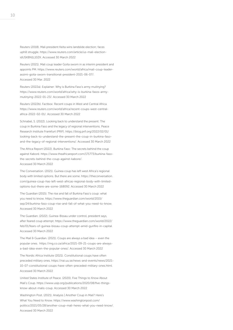Reuters (2018). Mali president Keita wins landslide election; faces uphill struggle. https://www.reuters.com/article/us-mali-electionidUSKBN1L10ZK. Accessed 30 March 2022

Reuters (2021). Mali coup leader Goita sworn in as interim president and appoints PM. https://www.reuters.com/world/africa/mali-coup-leaderassimi-goita-sworn-transitional-president-2021-06-07/. Accessed 30 Mar. 2022

Reuters (2022a). Explainer: Why is Burkina Faso's army mutinying? https://www.reuters.com/world/africa/why-is-burkina-fasos-armymutinying-2022-01-23/. Accessed 30 March 2022

Reuters (2022b). Factbox: Recent coups in West and Central Africa. https://www.reuters.com/world/africa/recent-coups-west-centralafrica-2022-02-01/. Accessed 30 March 2022

Schnabel, S. (2022). Looking back to understand the present: The coup in Burkina Faso and the legacy of regional interventions. Peace Research Institute Frankfurt (PRIF). https://blog.prif.org/2022/02/01/ looking-back-to-understand-the-present-the-coup-in-burkina-fasoand-the-legacy-of-regional-interventions/. Accessed 30 March 2022

The Africa Report (2022). Burkina Faso: The secrets behind the coup against Kaboré. https://www.theafricareport.com/171773/burkina-fasothe-secrets-behind-the-coup-against-kabore/. Accessed 30 March 2022

The Conversation. (2021). Guinea coup has left west Africa's regional body with limited options. But there are some. https://theconversation. com/guinea-coup-has-left-west-africas-regional-body-with-limitedoptions-but-there-are-some-168092. Accessed 30 March 2022

The Guardian (2015). The rise and fall of Burkina Faso's coup: what you need to know. https://www.theguardian.com/world/2015/ sep/24/burkina-faso-coup-rise-and-fall-of-what-you-need-to-know. Accessed 30 March 2022

The Guardian. (2022). Guinea-Bissau under control, president says, after feared coup attempt. https://www.theguardian.com/world/2022/ feb/01/fears-of-guinea-bissau-coup-attempt-amid-gunfire-in-capital. Accessed 30 March 2022

The Mail & Guardian. (2021). Coups are always a bad idea  $-$  even the popular ones. https://mg.co.za/africa/2021-09-21-coups-are-alwaysa-bad-idea-even-the-popular-ones/. Accessed 30 March 2022

The Nordic Africa Institute (2021). Constitutional coups have often preceded military ones. https://nai.uu.se/news-and-events/news/2021- 10-07-constitutional-coups-have-often-preceded-military-ones.html. Accessed 30 March 2022

United States Institute of Peace. (2020). Five Things to Know About Mali's Coup. https://www.usip.org/publications/2020/08/five-thingsknow-about-malis-coup. Accessed 30 March 2022

Washington Post. (2021). Analysis | Another Coup in Mali? Here's What You Need to Know. https://www.washingtonpost.com/ politics/2021/05/28/another-coup-mali-heres-what-you-need-know/. Accessed 30 March 2022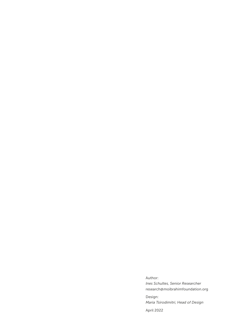Author: *Ines Schultes, Senior Researcher* research@moibrahimfoundation.org

Design: *Maria Tsirodimitri, Head of Design*

April 2022